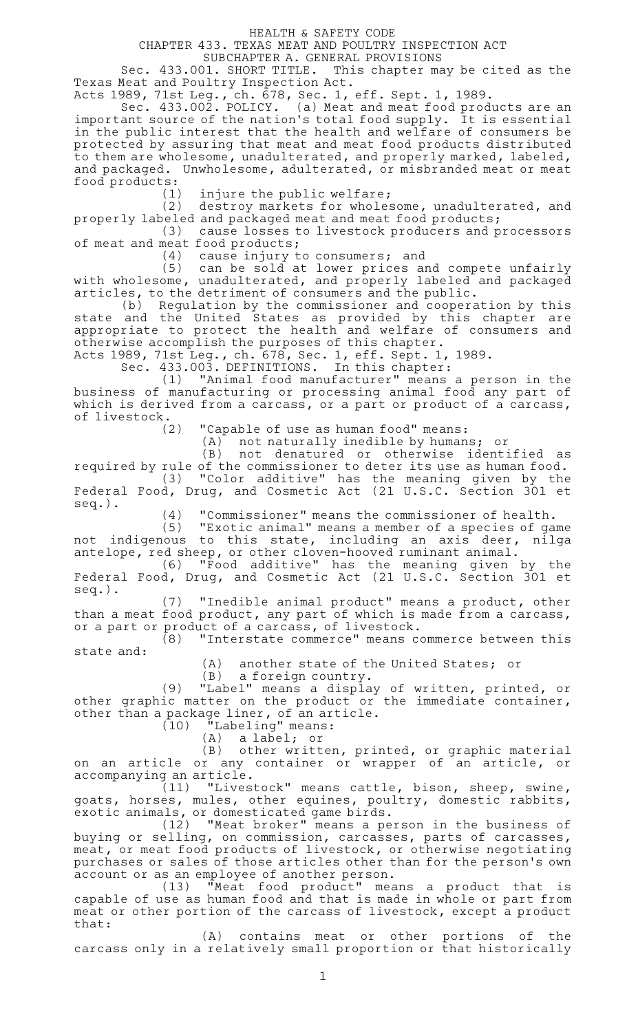## HEALTH & SAFETY CODE

CHAPTER 433. TEXAS MEAT AND POULTRY INSPECTION ACT

SUBCHAPTER A. GENERAL PROVISIONS

Sec. 433.001. SHORT TITLE. This chapter may be cited as the Texas Meat and Poultry Inspection Act.

Acts 1989, 71st Leg., ch. 678, Sec. 1, eff. Sept. 1, 1989.

Sec. 433.002. POLICY. (a) Meat and meat food products are an important source of the nation 's total food supply. It is essential in the public interest that the health and welfare of consumers be protected by assuring that meat and meat food products distributed to them are wholesome, unadulterated, and properly marked, labeled, and packaged. Unwholesome, adulterated, or misbranded meat or meat food products:

 $(1)$  injure the public welfare;

(2) destroy markets for wholesome, unadulterated, and properly labeled and packaged meat and meat food products;

(3) cause losses to livestock producers and processors of meat and meat food products;

 $(4)$  cause injury to consumers; and

(5) can be sold at lower prices and compete unfairly with wholesome, unadulterated, and properly labeled and packaged articles, to the detriment of consumers and the public.

(b) Regulation by the commissioner and cooperation by this state and the United States as provided by this chapter are appropriate to protect the health and welfare of consumers and otherwise accomplish the purposes of this chapter.

Acts 1989, 71st Leg., ch. 678, Sec. 1, eff. Sept. 1, 1989.

Sec. 433.003. DEFINITIONS. In this chapter:

(1) "Animal food manufacturer" means a person in the business of manufacturing or processing animal food any part of which is derived from a carcass, or a part or product of a carcass, of livestock.<br>(2)

"Capable of use as human food" means:

(A) not naturally inedible by humans; or

(B) not denatured or otherwise identified as required by rule of the commissioner to deter its use as human food. (3) "Color additive" has the meaning given by the Federal Food, Drug, and Cosmetic Act (21 U.S.C. Section 301 et seq.).

(4) "Commissioner" means the commissioner of health.

(5) "Exotic animal" means a member of a species of game not indigenous to this state, including an axis deer, nilga antelope, red sheep, or other cloven-hooved ruminant animal.

(6) "Food additive" has the meaning given by the Federal Food, Drug, and Cosmetic Act (21 U.S.C. Section 301 et seq.).

(7) "Inedible animal product" means a product, other than a meat food product, any part of which is made from a carcass, or a part or product of a carcass, of livestock.

(8) "Interstate commerce" means commerce between this state and:

(A) another state of the United States; or

 $(B)$  a foreign country.

(9) "Label" means a display of written, printed, or other graphic matter on the product or the immediate container, other than a package liner, of an article.

 $(10)$  "Labeling" means:

(A) a label; or

(B) other written, printed, or graphic material on an article or any container or wrapper of an article, or accompanying an article.

 $(11)$  "Livestock" means cattle, bison, sheep, swine, goats, horses, mules, other equines, poultry, domestic rabbits, exotic animals, or domesticated game birds.

(12) "Meat broker" means a person in the business of buying or selling, on commission, carcasses, parts of carcasses, meat, or meat food products of livestock, or otherwise negotiating purchases or sales of those articles other than for the person 's own account or as an employee of another person.

(13) "Meat food product" means a product that is capable of use as human food and that is made in whole or part from meat or other portion of the carcass of livestock, except a product that:

(A) contains meat or other portions of the carcass only in a relatively small proportion or that historically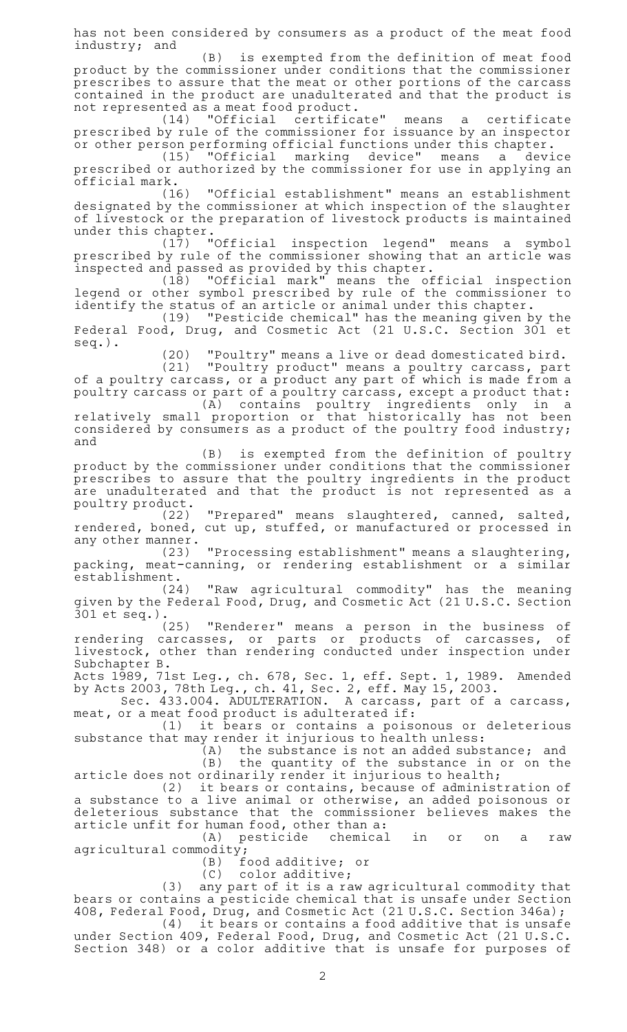has not been considered by consumers as a product of the meat food industry; and

 $(B)$  is exempted from the definition of meat food product by the commissioner under conditions that the commissioner prescribes to assure that the meat or other portions of the carcass contained in the product are unadulterated and that the product is not represented as a meat food product.

(14) "Official certificate" means a certificate prescribed by rule of the commissioner for issuance by an inspector or other person performing official functions under this chapter.

(15) "Official marking device" means a device prescribed or authorized by the commissioner for use in applying an official mark.

(16) "Official establishment" means an establishment designated by the commissioner at which inspection of the slaughter of livestock or the preparation of livestock products is maintained under this chapter.

(17) "Official inspection legend" means a symbol prescribed by rule of the commissioner showing that an article was inspected and passed as provided by this chapter.

(18) "Official mark" means the official inspection legend or other symbol prescribed by rule of the commissioner to identify the status of an article or animal under this chapter.

 $(19)$  "Pesticide chemical" has the meaning given by the Federal Food, Drug, and Cosmetic Act (21 U.S.C. Section 301 et seq.).

(20) "Poultry" means a live or dead domesticated bird.

(21) "Poultry product" means a poultry carcass, part of a poultry carcass, or a product any part of which is made from a poultry carcass or part of a poultry carcass, except a product that:

(A) contains poultry ingredients only in a relatively small proportion or that historically has not been considered by consumers as a product of the poultry food industry; and

(B) is exempted from the definition of poultry product by the commissioner under conditions that the commissioner prescribes to assure that the poultry ingredients in the product are unadulterated and that the product is not represented as a poultry product.

(22) "Prepared" means slaughtered, canned, salted, rendered, boned, cut up, stuffed, or manufactured or processed in any other manner.

(23) "Processing establishment" means a slaughtering, packing, meat-canning, or rendering establishment or a similar establishment.<br>(24)

"Raw agricultural commodity" has the meaning given by the Federal Food, Drug, and Cosmetic Act (21 U.S.C. Section 301 et seq.).

"Renderer" means a person in the business of rendering carcasses, or parts or products of carcasses, of livestock, other than rendering conducted under inspection under Subchapter B.

Acts 1989, 71st Leg., ch. 678, Sec. 1, eff. Sept. 1, 1989. Amended by Acts 2003, 78th Leg., ch. 41, Sec. 2, eff. May 15, 2003.

Sec. 433.004. ADULTERATION. A carcass, part of a carcass, meat, or a meat food product is adulterated if:

(1) it bears or contains a poisonous or deleterious substance that may render it injurious to health unless:

 $(A)$  the substance is not an added substance; and (B) the quantity of the substance in or on the

article does not ordinarily render it injurious to health;

(2) it bears or contains, because of administration of a substance to a live animal or otherwise, an added poisonous or deleterious substance that the commissioner believes makes the article unfit for human food, other than a:

(A) pesticide chemical in or on a raw agricultural commodity;

(B) food additive; or

(C) color additive;

(3) any part of it is a raw agricultural commodity that bears or contains a pesticide chemical that is unsafe under Section 408, Federal Food, Drug, and Cosmetic Act (21 U.S.C. Section 346a);

 $(4)$  it bears or contains a food additive that is unsafe under Section 409, Federal Food, Drug, and Cosmetic Act (21 U.S.C. Section 348) or a color additive that is unsafe for purposes of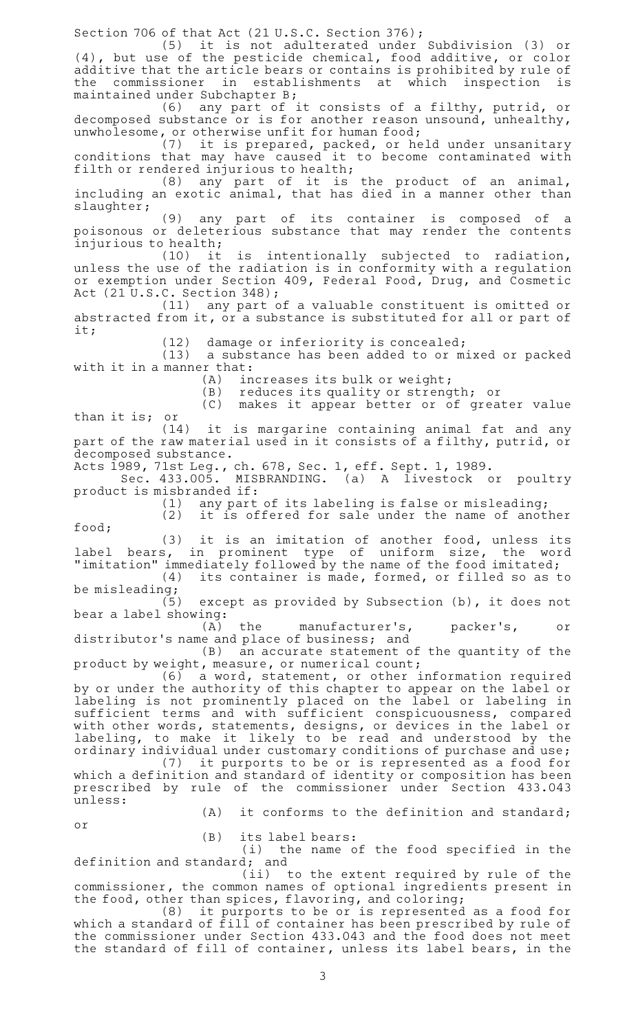Section 706 of that Act (21 U.S.C. Section 376);

(5) it is not adulterated under Subdivision (3) or (4), but use of the pesticide chemical, food additive, or color additive that the article bears or contains is prohibited by rule of the commissioner in establishments at which inspection is maintained under Subchapter B;

(6) any part of it consists of a filthy, putrid, or decomposed substance or is for another reason unsound, unhealthy, unwholesome, or otherwise unfit for human food;

(7) it is prepared, packed, or held under unsanitary conditions that may have caused it to become contaminated with filth or rendered injurious to health;

 $(8)$  any part of it is the product of an animal, including an exotic animal, that has died in a manner other than slaughter;

(9) any part of its container is composed of a poisonous or deleterious substance that may render the contents injurious to health;

(10) it is intentionally subjected to radiation, unless the use of the radiation is in conformity with a regulation or exemption under Section 409, Federal Food, Drug, and Cosmetic Act (21 U.S.C. Section 348);

(11) any part of a valuable constituent is omitted or abstracted from it, or a substance is substituted for all or part of it;

(12) damage or inferiority is concealed;

 $(13)$  a substance has been added to or mixed or packed with it in a manner that:

 $(A)$  increases its bulk or weight;

(B) reduces its quality or strength; or

 $(C)$  makes it appear better or of greater value than it is; or

 $(14)$  it is margarine containing animal fat and any part of the raw material used in it consists of a filthy, putrid, or decomposed substance.

Acts 1989, 71st Leg., ch. 678, Sec. 1, eff. Sept. 1, 1989.

Sec. 433.005. MISBRANDING. (a) A livestock or poultry product is misbranded if:<br>(1) any part

 $(1)$  any part of its labeling is false or misleading;

 $(2)$  it is offered for sale under the name of another food;

(3) it is an imitation of another food, unless its label bears, in prominent type of uniform size, the word

"imitation" immediately followed by the name of the food imitated;<br>(4) its container is made, formed, or filled so as t its container is made, formed, or filled so as to

be misleading;<br>(5) except as provided by Subsection  $(b)$ , it does not bear a label showing:

 $(A)$  the manufacturer's, packer's, or distributor 's name and place of business; and

 $(B)$  an accurate statement of the quantity of the product by weight, measure, or numerical count;

 $(6)$  a word, statement, or other information required by or under the authority of this chapter to appear on the label or labeling is not prominently placed on the label or labeling in sufficient terms and with sufficient conspicuousness, compared with other words, statements, designs, or devices in the label or labeling, to make it likely to be read and understood by the ordinary individual under customary conditions of purchase and use;

(7) it purports to be or is represented as a food for which a definition and standard of identity or composition has been prescribed by rule of the commissioner under Section 433.043 unless:

 $(A)$  it conforms to the definition and standard;

or

 $(B)$  its label bears:

(i) the name of the food specified in the definition and standard; and

(ii) to the extent required by rule of the commissioner, the common names of optional ingredients present in the food, other than spices, flavoring, and coloring;

(8) it purports to be or is represented as a food for which a standard of fill of container has been prescribed by rule of the commissioner under Section 433.043 and the food does not meet the standard of fill of container, unless its label bears, in the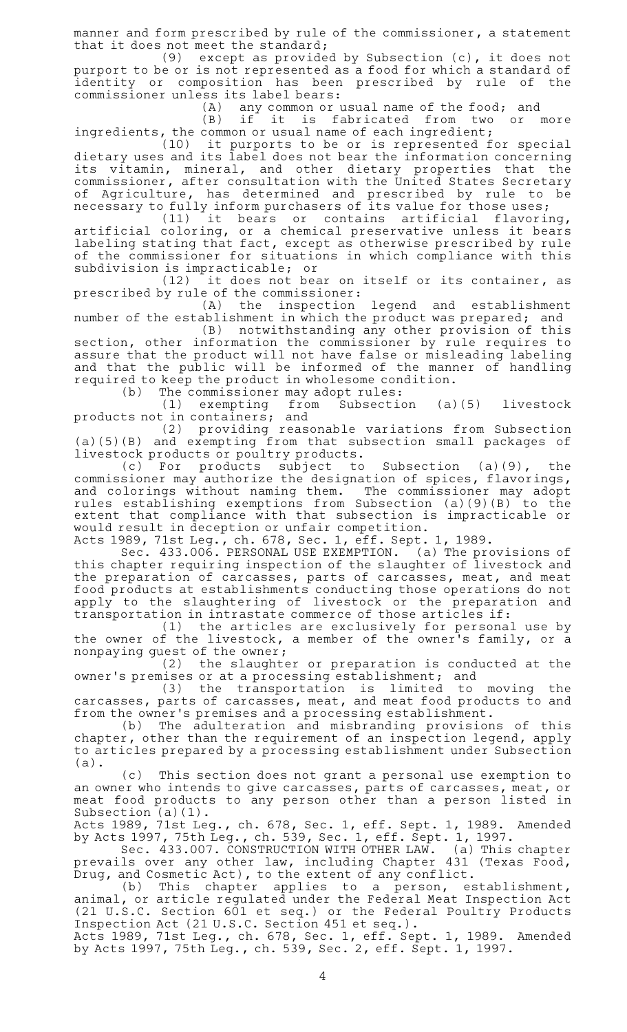manner and form prescribed by rule of the commissioner, a statement that it does not meet the standard;

(9) except as provided by Subsection  $(c)$ , it does not purport to be or is not represented as a food for which a standard of identity or composition has been prescribed by rule of the commissioner unless its label bears:

(A) any common or usual name of the food; and (B) if it is fabricated from two or more

ingredients, the common or usual name of each ingredient; (10) it purports to be or is represented for special dietary uses and its label does not bear the information concerning its vitamin, mineral, and other dietary properties that the commissioner, after consultation with the United States Secretary of Agriculture, has determined and prescribed by rule to be necessary to fully inform purchasers of its value for those uses;

 $(11)$  it bears or contains artificial flavoring, artificial coloring, or a chemical preservative unless it bears labeling stating that fact, except as otherwise prescribed by rule of the commissioner for situations in which compliance with this subdivision is impracticable; or

(12) it does not bear on itself or its container, as prescribed by rule of the commissioner:

(A) the inspection legend and establishment number of the establishment in which the product was prepared; and

(B) notwithstanding any other provision of this section, other information the commissioner by rule requires to assure that the product will not have false or misleading labeling and that the public will be informed of the manner of handling required to keep the product in wholesome condition.<br>(b) The commissioner may adopt rules:

The commissioner may adopt rules:

 $(1)$  exempting from Subsection  $(a)(5)$  livestock products not in containers; and

(2) providing reasonable variations from Subsection (a)(5)(B) and exempting from that subsection small packages of livestock products or poultry products.

 $(c)$  For products subject to Subsection  $(a)(9)$ , the commissioner may authorize the designation of spices, flavorings, and colorings without naming them. The commissioner may adopt rules establishing exemptions from Subsection (a)(9)(B) to the extent that compliance with that subsection is impracticable or would result in deception or unfair competition.

Acts 1989, 71st Leg., ch. 678, Sec. 1, eff. Sept. 1, 1989.

Sec. 433.006. PERSONAL USE EXEMPTION. (a) The provisions of this chapter requiring inspection of the slaughter of livestock and the preparation of carcasses, parts of carcasses, meat, and meat food products at establishments conducting those operations do not apply to the slaughtering of livestock or the preparation and transportation in intrastate commerce of those articles if:

(1) the articles are exclusively for personal use by the owner of the livestock, a member of the owner 's family, or a nonpaying guest of the owner;

(2) the slaughter or preparation is conducted at the owner 's premises or at a processing establishment; and

(3) the transportation is limited to moving the carcasses, parts of carcasses, meat, and meat food products to and from the owner 's premises and a processing establishment.

(b) The adulteration and misbranding provisions of this chapter, other than the requirement of an inspection legend, apply to articles prepared by a processing establishment under Subsection (a).

(c) This section does not grant a personal use exemption to an owner who intends to give carcasses, parts of carcasses, meat, or meat food products to any person other than a person listed in Subsection (a)(1).

Acts 1989, 71st Leg., ch. 678, Sec. 1, eff. Sept. 1, 1989. Amended by Acts 1997, 75th Leg., ch. 539, Sec. 1, eff. Sept. 1, 1997.

Sec. 433.007. CONSTRUCTION WITH OTHER LAW. (a) This chapter prevails over any other law, including Chapter 431 (Texas Food, Drug, and Cosmetic Act), to the extent of any conflict.

(b) This chapter applies to a person, establishment, animal, or article regulated under the Federal Meat Inspection Act (21 U.S.C. Section 601 et seq.) or the Federal Poultry Products Inspection Act (21 U.S.C. Section 451 et seq.).

Acts 1989, 71st Leg., ch. 678, Sec. 1, eff. Sept. 1, 1989. Amended by Acts 1997, 75th Leg., ch. 539, Sec. 2, eff. Sept. 1, 1997.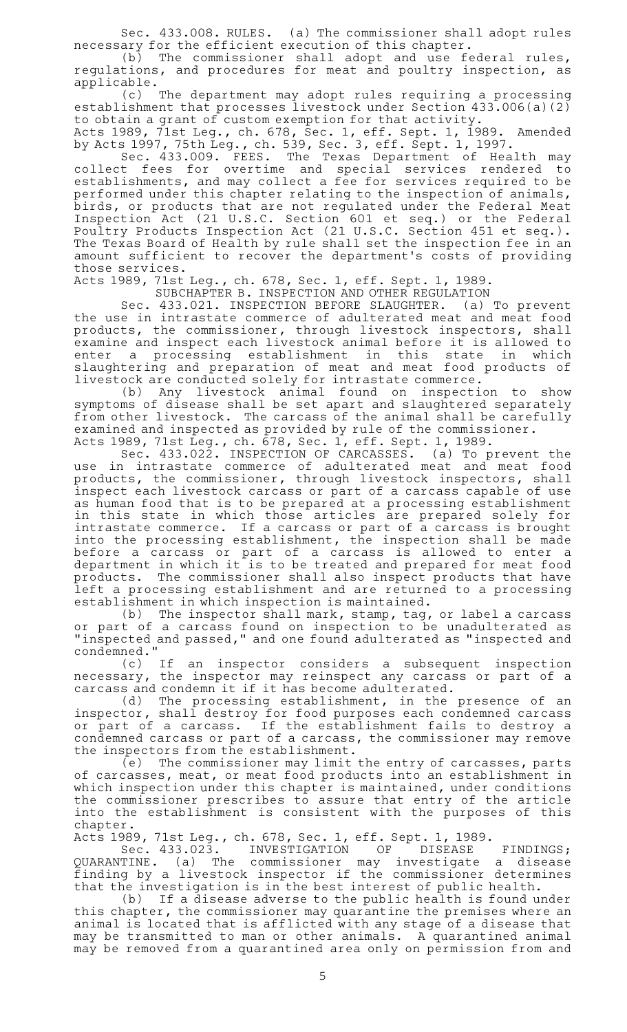Sec. 433.008. RULES. (a) The commissioner shall adopt rules necessary for the efficient execution of this chapter.

(b) The commissioner shall adopt and use federal rules, regulations, and procedures for meat and poultry inspection, as applicable.

(c) The department may adopt rules requiring a processing establishment that processes livestock under Section 433.006(a)(2) to obtain a grant of custom exemption for that activity.

Acts 1989, 71st Leg., ch. 678, Sec. 1, eff. Sept. 1, 1989. Amended by Acts 1997, 75th Leg., ch. 539, Sec. 3, eff. Sept. 1, 1997.

Sec. 433.009. FEES. The Texas Department of Health may collect fees for overtime and special services rendered to establishments, and may collect a fee for services required to be performed under this chapter relating to the inspection of animals, birds, or products that are not regulated under the Federal Meat Inspection Act (21 U.S.C. Section 601 et seq.) or the Federal Poultry Products Inspection Act (21 U.S.C. Section 451 et seq.). The Texas Board of Health by rule shall set the inspection fee in an amount sufficient to recover the department 's costs of providing those services.

Acts 1989, 71st Leg., ch. 678, Sec. 1, eff. Sept. 1, 1989.

SUBCHAPTER B. INSPECTION AND OTHER REGULATION

Sec. 433.021. INSPECTION BEFORE SLAUGHTER. (a) To prevent the use in intrastate commerce of adulterated meat and meat food products, the commissioner, through livestock inspectors, shall examine and inspect each livestock animal before it is allowed to enter a processing establishment in this state in which slaughtering and preparation of meat and meat food products of livestock are conducted solely for intrastate commerce.

(b)AAAny livestock animal found on inspection to show symptoms of disease shall be set apart and slaughtered separately from other livestock. The carcass of the animal shall be carefully examined and inspected as provided by rule of the commissioner. Acts 1989, 71st Leg., ch. 678, Sec. 1, eff. Sept. 1, 1989.

Sec. 433.022. INSPECTION OF CARCASSES. (a) To prevent the use in intrastate commerce of adulterated meat and meat food products, the commissioner, through livestock inspectors, shall inspect each livestock carcass or part of a carcass capable of use as human food that is to be prepared at a processing establishment in this state in which those articles are prepared solely for intrastate commerce. If a carcass or part of a carcass is brought into the processing establishment, the inspection shall be made before a carcass or part of a carcass is allowed to enter a department in which it is to be treated and prepared for meat food products. The commissioner shall also inspect products that have left a processing establishment and are returned to a processing establishment in which inspection is maintained.

(b) The inspector shall mark, stamp, tag, or label a carcass or part of a carcass found on inspection to be unadulterated as "inspected and passed," and one found adulterated as "inspected and  $\begin{array}{c} \text{condemned.} \\ \text{(c)} \quad \text{If} \end{array}$ 

(c) If an inspector considers a subsequent inspection necessary, the inspector may reinspect any carcass or part of a carcass and condemn it if it has become adulterated.

(d) The processing establishment, in the presence of an inspector, shall destroy for food purposes each condemned carcass or part of a carcass. If the establishment fails to destroy a condemned carcass or part of a carcass, the commissioner may remove the inspectors from the establishment.

(e) The commissioner may limit the entry of carcasses, parts of carcasses, meat, or meat food products into an establishment in which inspection under this chapter is maintained, under conditions the commissioner prescribes to assure that entry of the article into the establishment is consistent with the purposes of this chapter.

Acts 1989, 71st Leg., ch. 678, Sec. 1, eff. Sept. 1, 1989.

Sec. 433.023. INVESTIGATION OF DISEASE FINDINGS; QUARANTINE. (a) The commissioner may investigate a disease finding by a livestock inspector if the commissioner determines that the investigation is in the best interest of public health.

(b) If a disease adverse to the public health is found under this chapter, the commissioner may quarantine the premises where an animal is located that is afflicted with any stage of a disease that may be transmitted to man or other animals. A quarantined animal may be removed from a quarantined area only on permission from and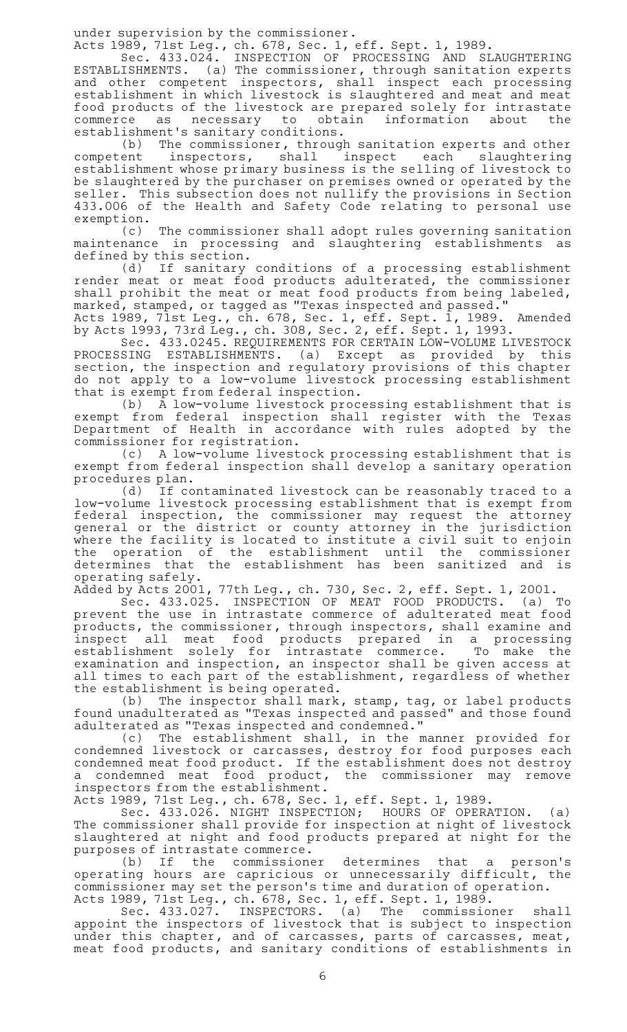under supervision by the commissioner.

Acts 1989, 71st Leg., ch. 678, Sec. 1, eff. Sept. 1, 1989.

Sec. 433.024. INSPECTION OF PROCESSING AND SLAUGHTERING ESTABLISHMENTS. (a) The commissioner, through sanitation experts and other competent inspectors, shall inspect each processing establishment in which livestock is slaughtered and meat and meat food products of the livestock are prepared solely for intrastate commerce as necessary to obtain information about the establishment 's sanitary conditions.

(b) The commissioner, through sanitation experts and other competent inspectors, shall inspect each slaughtering establishment whose primary business is the selling of livestock to be slaughtered by the purchaser on premises owned or operated by the seller. This subsection does not nullify the provisions in Section 433.006 of the Health and Safety Code relating to personal use exemption.

(c) The commissioner shall adopt rules governing sanitation maintenance in processing and slaughtering establishments as defined by this section.

(d) If sanitary conditions of a processing establishment render meat or meat food products adulterated, the commissioner shall prohibit the meat or meat food products from being labeled, marked, stamped, or tagged as "Texas inspected and passed."

Acts 1989, 71st Leg., ch. 678, Sec. 1, eff. Sept. 1, 1989. Amended by Acts 1993, 73rd Leg., ch. 308, Sec. 2, eff. Sept. 1, 1993.

Sec. 433.0245. REQUIREMENTS FOR CERTAIN LOW-VOLUME LIVESTOCK PROCESSING ESTABLISHMENTS. (a) Except as provided by this section, the inspection and regulatory provisions of this chapter do not apply to a low-volume livestock processing establishment that is exempt from federal inspection.

(b) A low-volume livestock processing establishment that is exempt from federal inspection shall register with the Texas Department of Health in accordance with rules adopted by the commissioner for registration.

(c) A low-volume livestock processing establishment that is exempt from federal inspection shall develop a sanitary operation procedures plan.

(d) If contaminated livestock can be reasonably traced to a low-volume livestock processing establishment that is exempt from federal inspection, the commissioner may request the attorney general or the district or county attorney in the jurisdiction where the facility is located to institute a civil suit to enjoin the operation of the establishment until the commissioner determines that the establishment has been sanitized and is operating safely.

Added by Acts 2001, 77th Leg., ch. 730, Sec. 2, eff. Sept. 1, 2001.

Sec. 433.025. INSPECTION OF MEAT FOOD PRODUCTS. (a) To prevent the use in intrastate commerce of adulterated meat food products, the commissioner, through inspectors, shall examine and inspect all meat food products prepared in a processing establishment solely for intrastate commerce. To make the examination and inspection, an inspector shall be given access at all times to each part of the establishment, regardless of whether the establishment is being operated.

(b) The inspector shall mark, stamp, tag, or label products found unadulterated as "Texas inspected and passed" and those found adulterated as "Texas inspected and condemned."

(c) The establishment shall, in the manner provided for condemned livestock or carcasses, destroy for food purposes each condemned meat food product. If the establishment does not destroy a condemned meat food product, the commissioner may remove inspectors from the establishment.

Acts 1989, 71st Leg., ch. 678, Sec. 1, eff. Sept. 1, 1989.

Sec. 433.026. NIGHT INSPECTION; HOURS OF OPERATION. (a) The commissioner shall provide for inspection at night of livestock slaughtered at night and food products prepared at night for the purposes of intrastate commerce.

(b) If the commissioner determines that a person's operating hours are capricious or unnecessarily difficult, the commissioner may set the person 's time and duration of operation. Acts 1989, 71st Leg., ch. 678, Sec. 1, eff. Sept. 1, 1989.

Sec. 433.027. INSPECTORS. (a) The commissioner shall appoint the inspectors of livestock that is subject to inspection under this chapter, and of carcasses, parts of carcasses, meat, meat food products, and sanitary conditions of establishments in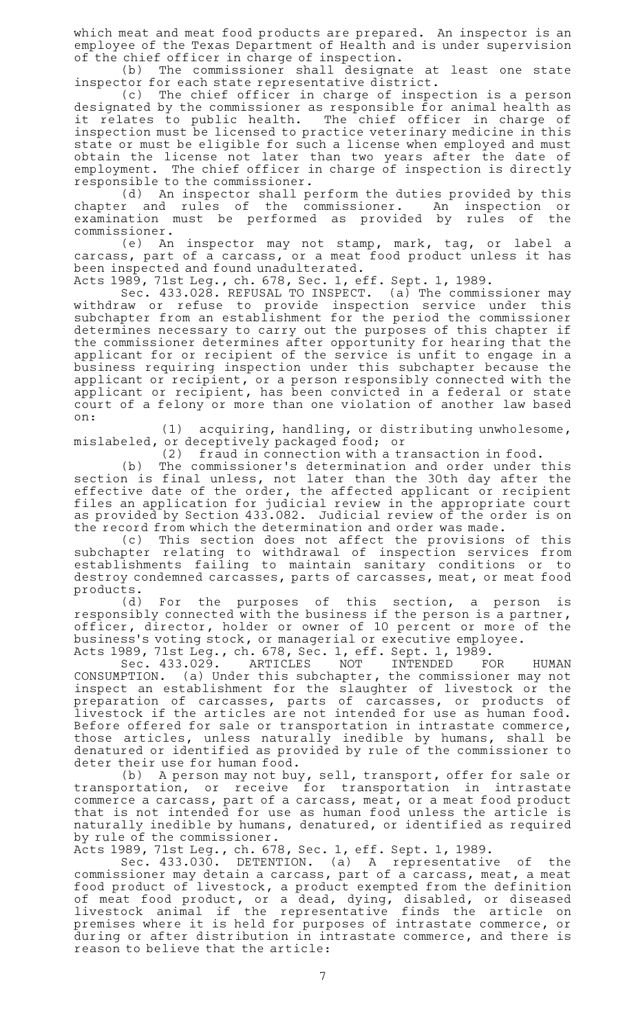which meat and meat food products are prepared. An inspector is an employee of the Texas Department of Health and is under supervision of the chief officer in charge of inspection.

(b) The commissioner shall designate at least one state inspector for each state representative district.

(c) The chief officer in charge of inspection is a person designated by the commissioner as responsible for animal health as it relates to public health. The chief officer in charge of inspection must be licensed to practice veterinary medicine in this state or must be eligible for such a license when employed and must obtain the license not later than two years after the date of employment. The chief officer in charge of inspection is directly responsible to the commissioner.

(d) An inspector shall perform the duties provided by this chapter and rules of the commissioner. An inspection or examination must be performed as provided by rules of the commissioner.

(e) An inspector may not stamp, mark, tag, or label a carcass, part of a carcass, or a meat food product unless it has been inspected and found unadulterated.

Acts 1989, 71st Leg., ch. 678, Sec. 1, eff. Sept. 1, 1989.

Sec. 433.028. REFUSAL TO INSPECT. (a) The commissioner may withdraw or refuse to provide inspection service under this subchapter from an establishment for the period the commissioner determines necessary to carry out the purposes of this chapter if the commissioner determines after opportunity for hearing that the applicant for or recipient of the service is unfit to engage in a business requiring inspection under this subchapter because the applicant or recipient, or a person responsibly connected with the applicant or recipient, has been convicted in a federal or state court of a felony or more than one violation of another law based on:

 $(1)$  acquiring, handling, or distributing unwholesome, mislabeled, or deceptively packaged food; or

 $(2)$  fraud in connection with a transaction in food.

(b) The commissioner's determination and order under this section is final unless, not later than the 30th day after the effective date of the order, the affected applicant or recipient files an application for judicial review in the appropriate court as provided by Section 433.082. Judicial review of the order is on the record from which the determination and order was made.

(c) This section does not affect the provisions of this subchapter relating to withdrawal of inspection services from establishments failing to maintain sanitary conditions or to destroy condemned carcasses, parts of carcasses, meat, or meat food products.

(d) For the purposes of this section, a person is responsibly connected with the business if the person is a partner, officer, director, holder or owner of 10 percent or more of the business 's voting stock, or managerial or executive employee.

Acts 1989, 71st Leg., ch. 678, Sec. 1, eff. Sept. 1, 1989.

Sec. 433.029. ARTICLES NOT INTENDED FOR HUMAN<br>CONSUMPTION. (a) Under this subchapter, the commissioner may not (a) Under this subchapter, the commissioner may not inspect an establishment for the slaughter of livestock or the preparation of carcasses, parts of carcasses, or products of livestock if the articles are not intended for use as human food. Before offered for sale or transportation in intrastate commerce, those articles, unless naturally inedible by humans, shall be denatured or identified as provided by rule of the commissioner to deter their use for human food.

(b) A person may not buy, sell, transport, offer for sale or transportation, or receive for transportation in intrastate commerce a carcass, part of a carcass, meat, or a meat food product that is not intended for use as human food unless the article is naturally inedible by humans, denatured, or identified as required by rule of the commissioner.

Acts 1989, 71st Leg., ch. 678, Sec. 1, eff. Sept. 1, 1989.

Sec. 433.030. DETENTION. (a) A representative of the commissioner may detain a carcass, part of a carcass, meat, a meat food product of livestock, a product exempted from the definition of meat food product, or a dead, dying, disabled, or diseased livestock animal if the representative finds the article on premises where it is held for purposes of intrastate commerce, or during or after distribution in intrastate commerce, and there is reason to believe that the article: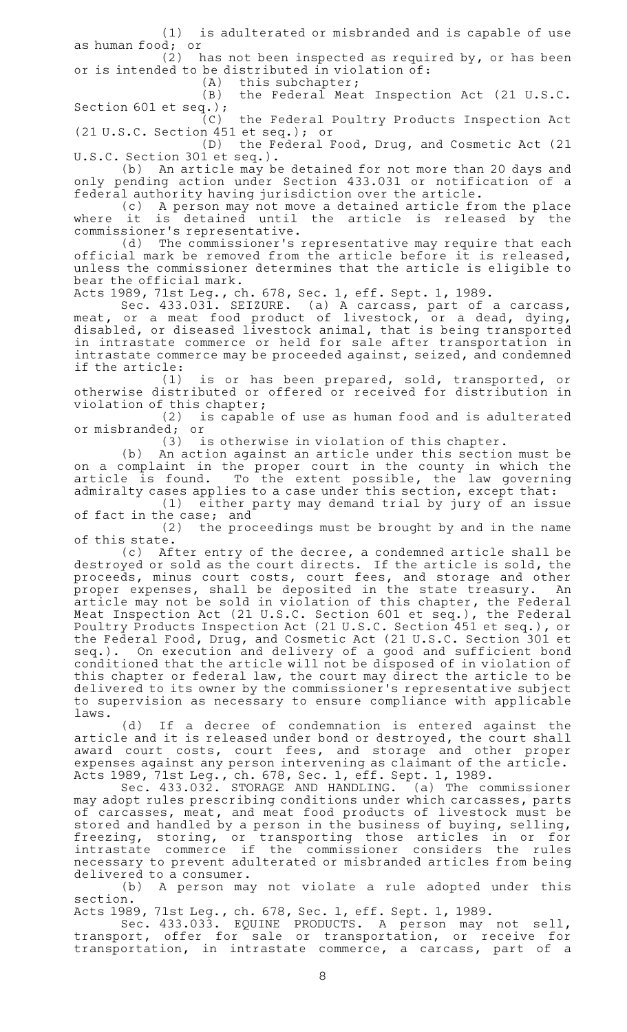$(1)$  is adulterated or misbranded and is capable of use as human food; or

 $(2)$  has not been inspected as required by, or has been or is intended to be distributed in violation of:<br>(A) this subchapter;

this subchapter;

(B) the Federal Meat Inspection Act (21 U.S.C. Section 601 et seq.); (C) the Federal Poultry Products Inspection Act

(21 U.S.C. Section 451 et seq.); or

(D) the Federal Food, Drug, and Cosmetic Act (21 U.S.C. Section 301 et seq.).

(b) An article may be detained for not more than 20 days and only pending action under Section 433.031 or notification of a federal authority having jurisdiction over the article.

(c) A person may not move a detained article from the place where it is detained until the article is released by the commissioner 's representative.

(d) The commissioner's representative may require that each official mark be removed from the article before it is released, unless the commissioner determines that the article is eligible to bear the official mark.

Acts 1989, 71st Leg., ch. 678, Sec. 1, eff. Sept. 1, 1989.

Sec. 433.031. SEIZURE. (a) A carcass, part of a carcass, meat, or a meat food product of livestock, or a dead, dying, disabled, or diseased livestock animal, that is being transported in intrastate commerce or held for sale after transportation in intrastate commerce may be proceeded against, seized, and condemned if the article:

(1) is or has been prepared, sold, transported, or otherwise distributed or offered or received for distribution in violation of this chapter;

(2) is capable of use as human food and is adulterated or misbranded; or<br>i (3)

is otherwise in violation of this chapter.

(b) An action against an article under this section must be on a complaint in the proper court in the county in which the article is found. To the extent possible, the law governing admiralty cases applies to a case under this section, except that:

 $(1)$  either party may demand trial by jury of an issue of fact in the case; and

(2) the proceedings must be brought by and in the name of this state.

 $(c)$  After entry of the decree, a condemned article shall be destroyed or sold as the court directs. If the article is sold, the proceeds, minus court costs, court fees, and storage and other proper expenses, shall be deposited in the state treasury. An article may not be sold in violation of this chapter, the Federal Meat Inspection Act (21 U.S.C. Section 601 et seq.), the Federal Poultry Products Inspection Act (21 U.S.C. Section 451 et seq.), or the Federal Food, Drug, and Cosmetic Act (21 U.S.C. Section 301 et seq.). On execution and delivery of a good and sufficient bond conditioned that the article will not be disposed of in violation of this chapter or federal law, the court may direct the article to be delivered to its owner by the commissioner 's representative subject to supervision as necessary to ensure compliance with applicable laws.

(d) If a decree of condemnation is entered against the article and it is released under bond or destroyed, the court shall award court costs, court fees, and storage and other proper expenses against any person intervening as claimant of the article. Acts 1989, 71st Leg., ch. 678, Sec. 1, eff. Sept. 1, 1989.

Sec. 433.032. STORAGE AND HANDLING. (a) The commissioner may adopt rules prescribing conditions under which carcasses, parts of carcasses, meat, and meat food products of livestock must be stored and handled by a person in the business of buying, selling, freezing, storing, or transporting those articles in or for intrastate commerce if the commissioner considers the rules necessary to prevent adulterated or misbranded articles from being delivered to a consumer.

(b) A person may not violate a rule adopted under this section.

Acts 1989, 71st Leg., ch. 678, Sec. 1, eff. Sept. 1, 1989.

Sec. 433.033. EQUINE PRODUCTS. A person may not sell, transport, offer for sale or transportation, or receive for transportation, in intrastate commerce, a carcass, part of a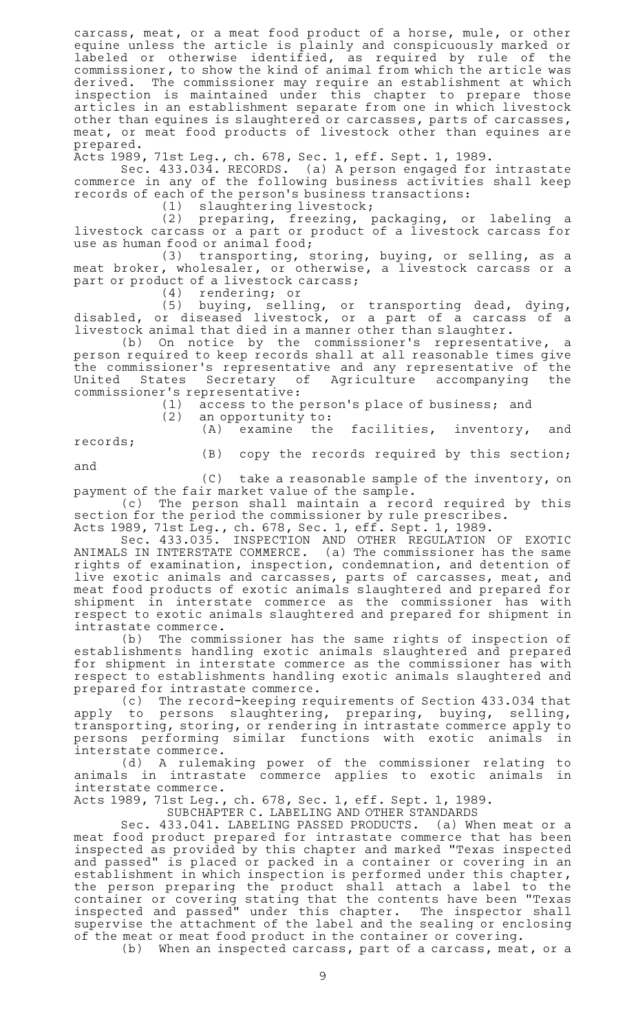carcass, meat, or a meat food product of a horse, mule, or other equine unless the article is plainly and conspicuously marked or labeled or otherwise identified, as required by rule of the commissioner, to show the kind of animal from which the article was derived. The commissioner may require an establishment at which inspection is maintained under this chapter to prepare those articles in an establishment separate from one in which livestock other than equines is slaughtered or carcasses, parts of carcasses, meat, or meat food products of livestock other than equines are prepared.

Acts 1989, 71st Leg., ch. 678, Sec. 1, eff. Sept. 1, 1989.

Sec. 433.034. RECORDS. (a) A person engaged for intrastate commerce in any of the following business activities shall keep records of each of the person 's business transactions:

(1) slaughtering livestock;

(2) preparing, freezing, packaging, or labeling a livestock carcass or a part or product of a livestock carcass for use as human food or animal food;

(3) transporting, storing, buying, or selling, as a meat broker, wholesaler, or otherwise, a livestock carcass or a part or product of a livestock carcass;

(4) rendering; or

 $(5)$  buying, selling, or transporting dead, dying, disabled, or diseased livestock, or a part of a carcass of a livestock animal that died in a manner other than slaughter.

(b) On notice by the commissioner's representative, a person required to keep records shall at all reasonable times give the commissioner 's representative and any representative of the United States Secretary of Agriculture accompanying the commissioner's representative:<br>(1) access to the p

access to the person's place of business; and

 $(2)$  an opportunity to:

(A) examine the facilities, inventory, and

(B) copy the records required by this section;

and

records;

 $(C)$  take a reasonable sample of the inventory, on payment of the fair market value of the sample.

(c) The person shall maintain a record required by this section for the period the commissioner by rule prescribes.

Acts 1989, 71st Leg., ch. 678, Sec. 1, eff. Sept. 1, 1989.

Sec. 433.035. INSPECTION AND OTHER REGULATION OF EXOTIC ANIMALS IN INTERSTATE COMMERCE. (a) The commissioner has the same rights of examination, inspection, condemnation, and detention of live exotic animals and carcasses, parts of carcasses, meat, and meat food products of exotic animals slaughtered and prepared for shipment in interstate commerce as the commissioner has with respect to exotic animals slaughtered and prepared for shipment in intrastate commerce.

(b) The commissioner has the same rights of inspection of establishments handling exotic animals slaughtered and prepared for shipment in interstate commerce as the commissioner has with respect to establishments handling exotic animals slaughtered and prepared for intrastate commerce.

(c) The record-keeping requirements of Section 433.034 that apply to persons slaughtering, preparing, buying, selling, transporting, storing, or rendering in intrastate commerce apply to persons performing similar functions with exotic animals in interstate commerce.

(d)AAA rulemaking power of the commissioner relating to animals in intrastate commerce applies to exotic animals in interstate commerce.

Acts 1989, 71st Leg., ch. 678, Sec. 1, eff. Sept. 1, 1989.

SUBCHAPTER C. LABELING AND OTHER STANDARDS

Sec. 433.041. LABELING PASSED PRODUCTS. (a) When meat or a meat food product prepared for intrastate commerce that has been inspected as provided by this chapter and marked "Texas inspected and passed" is placed or packed in a container or covering in an establishment in which inspection is performed under this chapter, the person preparing the product shall attach a label to the container or covering stating that the contents have been "Texas inspected and passed" under this chapter. The inspector shall supervise the attachment of the label and the sealing or enclosing of the meat or meat food product in the container or covering.

(b) When an inspected carcass, part of a carcass, meat, or a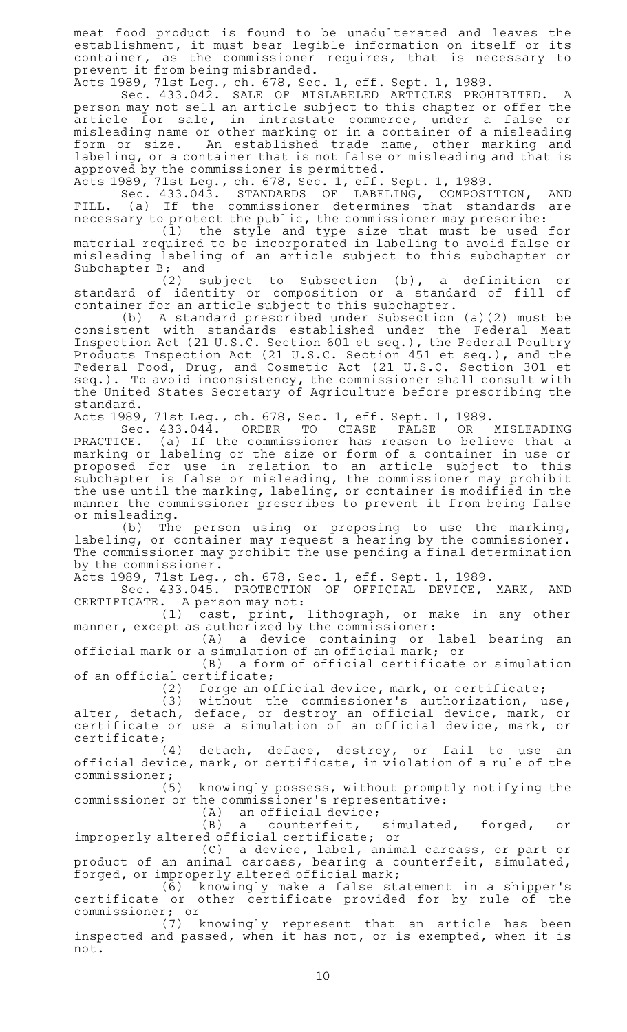meat food product is found to be unadulterated and leaves the establishment, it must bear legible information on itself or its container, as the commissioner requires, that is necessary to prevent it from being misbranded.

Acts 1989, 71st Leg., ch. 678, Sec. 1, eff. Sept. 1, 1989.

Sec. 433.042. SALE OF MISLABELED ARTICLES PROHIBITED. A person may not sell an article subject to this chapter or offer the article for sale, in intrastate commerce, under a false or misleading name or other marking or in a container of a misleading form or size. An established trade name, other marking and labeling, or a container that is not false or misleading and that is approved by the commissioner is permitted.

Acts 1989, 71st Leg., ch. 678, Sec. 1, eff. Sept. 1, 1989.

Sec. 433.043. STANDARDS OF LABELING, COMPOSITION, AND FILL. (a) If the commissioner determines that standards are necessary to protect the public, the commissioner may prescribe:

(1) the style and type size that must be used for material required to be incorporated in labeling to avoid false or misleading labeling of an article subject to this subchapter or Subchapter B; and

(2) subject to Subsection (b), a definition or standard of identity or composition or a standard of fill of container for an article subject to this subchapter.

(b)AAA standard prescribed under Subsection (a)(2) must be consistent with standards established under the Federal Meat Inspection Act (21 U.S.C. Section 601 et seq.), the Federal Poultry Products Inspection Act (21 U.S.C. Section 451 et seq.), and the Federal Food, Drug, and Cosmetic Act (21 U.S.C. Section 301 et seq.). To avoid inconsistency, the commissioner shall consult with the United States Secretary of Agriculture before prescribing the standard.

Acts 1989, 71st Leg., ch. 678, Sec. 1, eff. Sept. 1, 1989.<br>Sec. 433.044. ORDER TO CEASE FALSE OR Sec. 433.044. ORDER TO CEASE FALSE OR MISLEADING PRACTICE. (a) If the commissioner has reason to believe that a marking or labeling or the size or form of a container in use or proposed for use in relation to an article subject to this subchapter is false or misleading, the commissioner may prohibit the use until the marking, labeling, or container is modified in the manner the commissioner prescribes to prevent it from being false or misleading.

(b) The person using or proposing to use the marking, labeling, or container may request a hearing by the commissioner. The commissioner may prohibit the use pending a final determination by the commissioner.

Acts 1989, 71st Leg., ch. 678, Sec. 1, eff. Sept. 1, 1989.

Sec. 433.045. PROTECTION OF OFFICIAL DEVICE, MARK, AND CERTIFICATE. A person may not:

 $(1)$  cast, print, lithograph, or make in any other manner, except as authorized by the commissioner:

(A) a device containing or label bearing an official mark or a simulation of an official mark; or

(B) a form of official certificate or simulation of an official certificate;<br>(2) forge an of

forge an official device, mark, or certificate;

(3) without the commissioner's authorization, use, alter, detach, deface, or destroy an official device, mark, or certificate or use a simulation of an official device, mark, or certificate;<br>(4)

detach, deface, destroy, or fail to use an official device, mark, or certificate, in violation of a rule of the commissioner;<br>(5)

knowingly possess, without promptly notifying the commissioner or the commissioner 's representative:

 $(A)$  an official device;

(B) a counterfeit, simulated, forged, or improperly altered official certificate; or

(C) a device, label, animal carcass, or part or product of an animal carcass, bearing a counterfeit, simulated, forged, or improperly altered official mark;

(6) knowingly make a false statement in a shipper's certificate or other certificate provided for by rule of the commissioner; or

(7) knowingly represent that an article has been inspected and passed, when it has not, or is exempted, when it is not.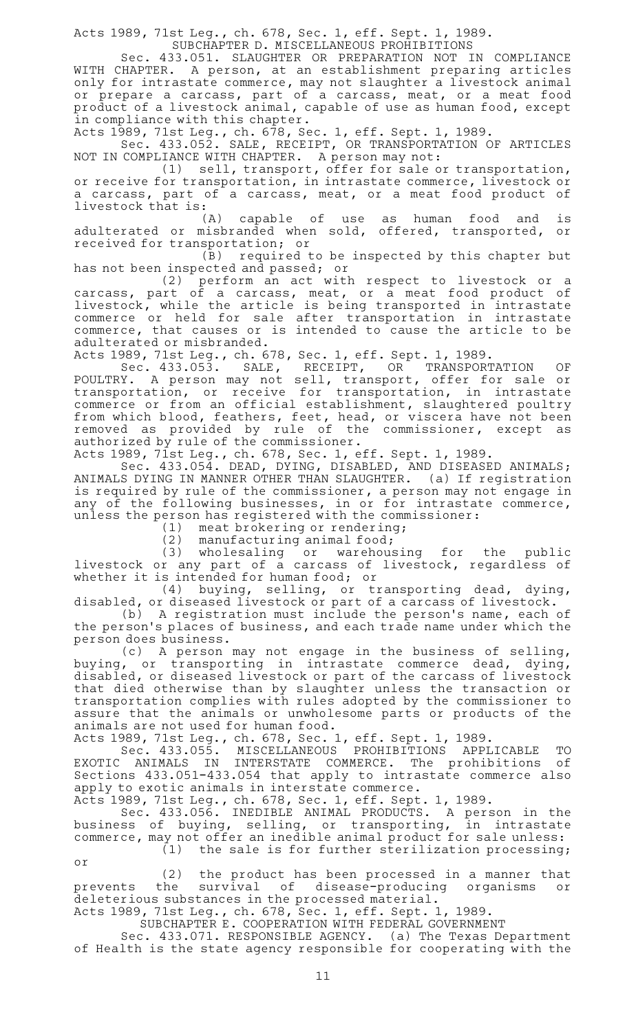Acts 1989, 71st Leg., ch. 678, Sec. 1, eff. Sept. 1, 1989.

SUBCHAPTER D. MISCELLANEOUS PROHIBITIONS

Sec. 433.051. SLAUGHTER OR PREPARATION NOT IN COMPLIANCE WITH CHAPTER. A person, at an establishment preparing articles only for intrastate commerce, may not slaughter a livestock animal or prepare a carcass, part of a carcass, meat, or a meat food product of a livestock animal, capable of use as human food, except in compliance with this chapter.

Acts 1989, 71st Leg., ch. 678, Sec. 1, eff. Sept. 1, 1989.

Sec. 433.052. SALE, RECEIPT, OR TRANSPORTATION OF ARTICLES NOT IN COMPLIANCE WITH CHAPTER. A person may not:

 $(1)$  sell, transport, offer for sale or transportation, or receive for transportation, in intrastate commerce, livestock or a carcass, part of a carcass, meat, or a meat food product of livestock that is:

(A) capable of use as human food and is adulterated or misbranded when sold, offered, transported, or received for transportation; or

(B) required to be inspected by this chapter but has not been inspected and passed; or

(2) perform an act with respect to livestock or a carcass, part of a carcass, meat, or a meat food product of livestock, while the article is being transported in intrastate commerce or held for sale after transportation in intrastate commerce, that causes or is intended to cause the article to be adulterated or misbranded.

Acts 1989, 71st Leg., ch. 678, Sec. 1, eff. Sept. 1, 1989.

Sec. 433.053. SALE, RECEIPT, OR TRANSPORTATION OF POULTRY. A person may not sell, transport, offer for sale or transportation, or receive for transportation, in intrastate commerce or from an official establishment, slaughtered poultry from which blood, feathers, feet, head, or viscera have not been removed as provided by rule of the commissioner, except as authorized by rule of the commissioner.

Acts 1989, 71st Leg., ch. 678, Sec. 1, eff. Sept. 1, 1989.

Sec. 433.054. DEAD, DYING, DISABLED, AND DISEASED ANIMALS; ANIMALS DYING IN MANNER OTHER THAN SLAUGHTER. (a) If registration is required by rule of the commissioner, a person may not engage in any of the following businesses, in or for intrastate commerce, unless the person has registered with the commissioner:

(1) meat brokering or rendering;

 $(2)$  manufacturing animal food;

(3) wholesaling or warehousing for the public livestock or any part of a carcass of livestock, regardless of whether it is intended for human food; or

(4) buying, selling, or transporting dead, dying, disabled, or diseased livestock or part of a carcass of livestock.

(b) A registration must include the person's name, each of the person 's places of business, and each trade name under which the person does business.

(c) A person may not engage in the business of selling, buying, or transporting in intrastate commerce dead, dying, disabled, or diseased livestock or part of the carcass of livestock that died otherwise than by slaughter unless the transaction or transportation complies with rules adopted by the commissioner to assure that the animals or unwholesome parts or products of the animals are not used for human food.

Acts 1989, 71st Leg., ch. 678, Sec. 1, eff. Sept. 1, 1989.

Sec.A433.055. MISCELLANEOUS PROHIBITIONS APPLICABLE TO EXOTIC ANIMALS IN INTERSTATE COMMERCE. The prohibitions of Sections 433.051-433.054 that apply to intrastate commerce also apply to exotic animals in interstate commerce.

Acts 1989, 71st Leg., ch. 678, Sec. 1, eff. Sept. 1, 1989.

Sec. 433.056. INEDIBLE ANIMAL PRODUCTS. A person in the business of buying, selling, or transporting, in intrastate commerce, may not offer an inedible animal product for sale unless:  $(1)$  the sale is for further sterilization processing;

or

(2) the product has been processed in a manner that prevents the survival of disease-producing organisms or deleterious substances in the processed material.

Acts 1989, 71st Leg., ch. 678, Sec. 1, eff. Sept. 1, 1989. SUBCHAPTER E. COOPERATION WITH FEDERAL GOVERNMENT

Sec. 433.071. RESPONSIBLE AGENCY. (a) The Texas Department of Health is the state agency responsible for cooperating with the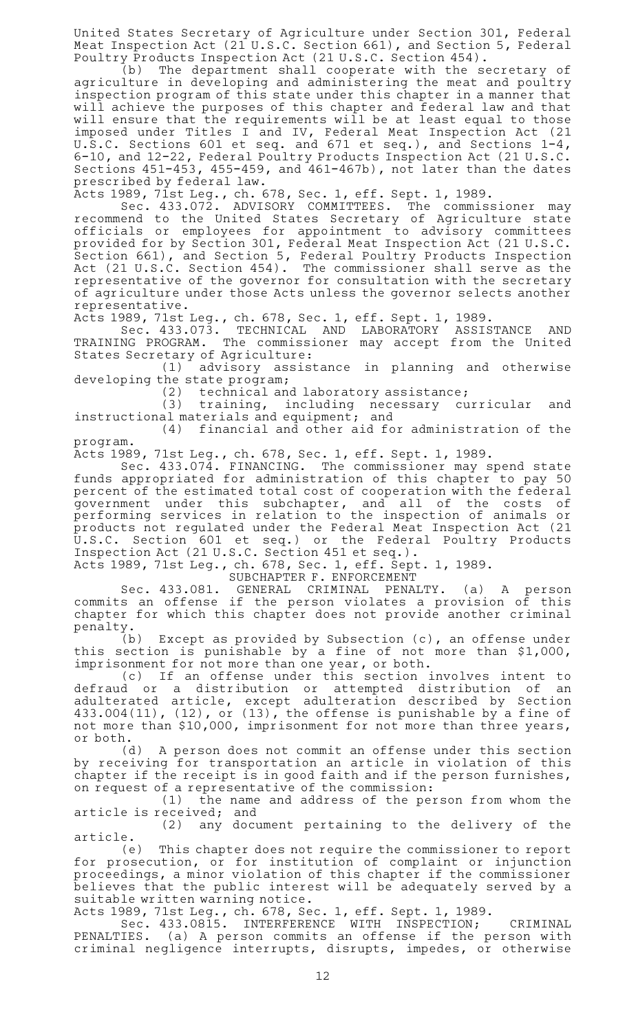United States Secretary of Agriculture under Section 301, Federal Meat Inspection Act  $(21 \text{ U.S. C.}$  Section 661), and Section 5, Federal Poultry Products Inspection Act (21 U.S.C. Section 454).

(b) The department shall cooperate with the secretary of agriculture in developing and administering the meat and poultry inspection program of this state under this chapter in a manner that will achieve the purposes of this chapter and federal law and that will ensure that the requirements will be at least equal to those imposed under Titles I and IV, Federal Meat Inspection Act (21 U.S.C. Sections 601 et seq. and 671 et seq.), and Sections 1-4, 6-10, and 12-22, Federal Poultry Products Inspection Act (21 U.S.C. Sections 451-453, 455-459, and 461-467b), not later than the dates prescribed by federal law.

Acts 1989, 71st Leg., ch. 678, Sec. 1, eff. Sept. 1, 1989.

Sec. 433.072. ADVISORY COMMITTEES. The commissioner may recommend to the United States Secretary of Agriculture state officials or employees for appointment to advisory committees provided for by Section 301, Federal Meat Inspection Act (21 U.S.C. Section 661), and Section 5, Federal Poultry Products Inspection Act (21 U.S.C. Section 454). The commissioner shall serve as the representative of the governor for consultation with the secretary of agriculture under those Acts unless the governor selects another representative.

Acts 1989, 71st Leg., ch. 678, Sec. 1, eff. Sept. 1, 1989.

Sec. 433.073. TECHNICAL AND LABORATORY ASSISTANCE AND TRAINING PROGRAM. The commissioner may accept from the United States Secretary of Agriculture:

(1) advisory assistance in planning and otherwise developing the state program;

 $(2)$  technical and laboratory assistance;

(3) training, including necessary curricular and instructional materials and equipment; and

 $(4)$  financial and other aid for administration of the program.

Acts 1989, 71st Leg., ch. 678, Sec. 1, eff. Sept. 1, 1989.

Sec. 433.074. FINANCING. The commissioner may spend state funds appropriated for administration of this chapter to pay 50 percent of the estimated total cost of cooperation with the federal government under this subchapter, and all of the costs of performing services in relation to the inspection of animals or products not regulated under the Federal Meat Inspection Act (21 U.S.C. Section 601 et seq.) or the Federal Poultry Products Inspection Act (21 U.S.C. Section 451 et seq.).

Acts 1989, 71st Leg., ch. 678, Sec. 1, eff. Sept. 1, 1989.

SUBCHAPTER F. ENFORCEMENT

Sec. 433.081. GENERAL CRIMINAL PENALTY. (a) A person commits an offense if the person violates a provision of this chapter for which this chapter does not provide another criminal penalty.

(b) Except as provided by Subsection  $(c)$ , an offense under this section is punishable by a fine of not more than \$1,000, imprisonment for not more than one year, or both.

(c) If an offense under this section involves intent to defraud or a distribution or attempted distribution of an adulterated article, except adulteration described by Section 433.004(11), (12), or (13), the offense is punishable by a fine of not more than \$10,000, imprisonment for not more than three years, or both.

(d) A person does not commit an offense under this section by receiving for transportation an article in violation of this chapter if the receipt is in good faith and if the person furnishes, on request of a representative of the commission:

(1) the name and address of the person from whom the article is received; and

(2) any document pertaining to the delivery of the article.<br>e)

This chapter does not require the commissioner to report for prosecution, or for institution of complaint or injunction proceedings, a minor violation of this chapter if the commissioner believes that the public interest will be adequately served by a suitable written warning notice.

Acts 1989, 71st Leg., ch. 678, Sec. 1, eff. Sept. 1, 1989.

Sec. 433.0815. INTERFERENCE WITH INSPECTION; CRIMINAL PENALTIES. (a) A person commits an offense if the person with criminal negligence interrupts, disrupts, impedes, or otherwise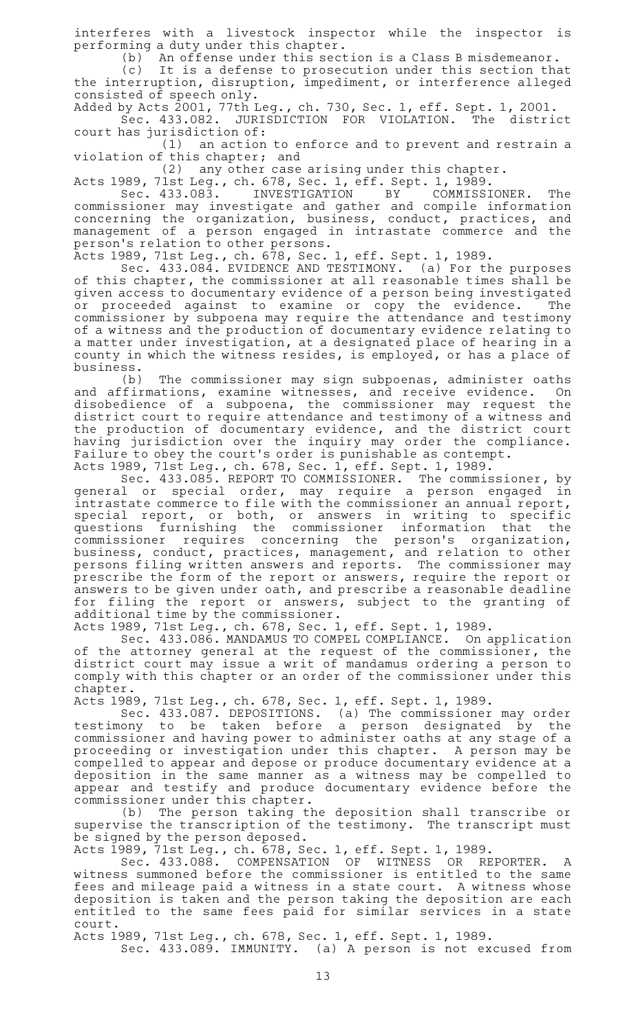interferes with a livestock inspector while the inspector is performing a duty under this chapter.

(b) An offense under this section is a Class B misdemeanor.

(c) It is a defense to prosecution under this section that the interruption, disruption, impediment, or interference alleged consisted of speech only.

Added by Acts 2001, 77th Leg., ch. 730, Sec. 1, eff. Sept. 1, 2001. Sec. 433.082. JURISDICTION FOR VIOLATION. The district court has jurisdiction of:

 $(1)$  an action to enforce and to prevent and restrain a violation of this chapter; and

 $(2)$  any other case arising under this chapter.

Acts 1989, 71st Leg., ch. 678, Sec. 1, eff. Sept. 1, 1989.<br>Sec. 433.083. INVESTIGATION BY COMMISSI

Sec. 433.083. INVESTIGATION BY COMMISSIONER. The commissioner may investigate and gather and compile information concerning the organization, business, conduct, practices, and management of a person engaged in intrastate commerce and the person 's relation to other persons.

Acts 1989, 71st Leg., ch. 678, Sec. 1, eff. Sept. 1, 1989.

Sec. 433.084. EVIDENCE AND TESTIMONY. (a) For the purposes of this chapter, the commissioner at all reasonable times shall be given access to documentary evidence of a person being investigated or proceeded against to examine or copy the evidence. The commissioner by subpoena may require the attendance and testimony of a witness and the production of documentary evidence relating to a matter under investigation, at a designated place of hearing in a county in which the witness resides, is employed, or has a place of business.

(b) The commissioner may sign subpoenas, administer oaths and affirmations, examine witnesses, and receive evidence. On disobedience of a subpoena, the commissioner may request the district court to require attendance and testimony of a witness and the production of documentary evidence, and the district court having jurisdiction over the inquiry may order the compliance. Failure to obey the court 's order is punishable as contempt.

Acts 1989, 71st Leg., ch. 678, Sec. 1, eff. Sept. 1, 1989.

Sec. 433.085. REPORT TO COMMISSIONER. The commissioner, by general or special order, may require a person engaged in intrastate commerce to file with the commissioner an annual report, special report, or both, or answers in writing to specific questions furnishing the commissioner information that the commissioner requires concerning the person's organization, business, conduct, practices, management, and relation to other persons filing written answers and reports. The commissioner may prescribe the form of the report or answers, require the report or answers to be given under oath, and prescribe a reasonable deadline for filing the report or answers, subject to the granting of additional time by the commissioner.

Acts 1989, 71st Leg., ch. 678, Sec. 1, eff. Sept. 1, 1989.

Sec. 433.086. MANDAMUS TO COMPEL COMPLIANCE. On application of the attorney general at the request of the commissioner, the district court may issue a writ of mandamus ordering a person to comply with this chapter or an order of the commissioner under this chapter.

Acts 1989, 71st Leg., ch. 678, Sec. 1, eff. Sept. 1, 1989.

Sec. 433.087. DEPOSITIONS. (a) The commissioner may order testimony to be taken before a person designated by the commissioner and having power to administer oaths at any stage of a proceeding or investigation under this chapter. A person may be compelled to appear and depose or produce documentary evidence at a deposition in the same manner as a witness may be compelled to appear and testify and produce documentary evidence before the commissioner under this chapter.

(b) The person taking the deposition shall transcribe or supervise the transcription of the testimony. The transcript must be signed by the person deposed.

Acts 1989, 71st Leg., ch. 678, Sec. 1, eff. Sept. 1, 1989.

Sec. 433.088. COMPENSATION OF WITNESS OR REPORTER. A witness summoned before the commissioner is entitled to the same fees and mileage paid a witness in a state court. A witness whose deposition is taken and the person taking the deposition are each entitled to the same fees paid for similar services in a state court.

Acts 1989, 71st Leg., ch. 678, Sec. 1, eff. Sept. 1, 1989.

Sec. 433.089. IMMUNITY. (a) A person is not excused from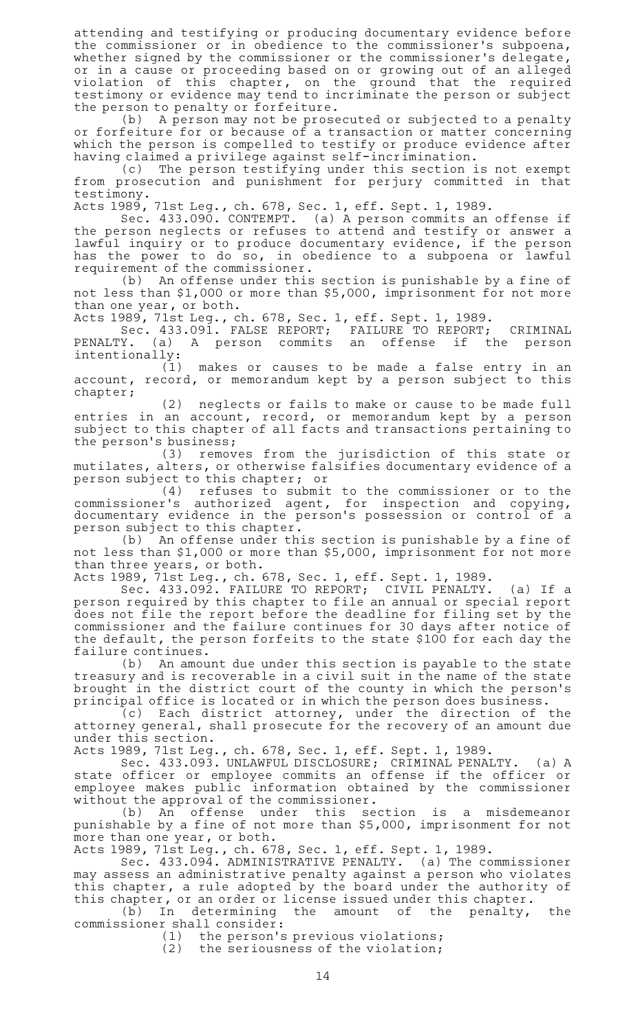attending and testifying or producing documentary evidence before the commissioner or in obedience to the commissioner 's subpoena, whether signed by the commissioner or the commissioner's delegate, or in a cause or proceeding based on or growing out of an alleged violation of this chapter, on the ground that the required testimony or evidence may tend to incriminate the person or subject the person to penalty or forfeiture.

(b) A person may not be prosecuted or subjected to a penalty or forfeiture for or because of a transaction or matter concerning which the person is compelled to testify or produce evidence after having claimed a privilege against self-incrimination.

(c) The person testifying under this section is not exempt from prosecution and punishment for perjury committed in that testimony.

Acts 1989, 71st Leg., ch. 678, Sec. 1, eff. Sept. 1, 1989.

Sec. 433.090. CONTEMPT. (a) A person commits an offense if the person neglects or refuses to attend and testify or answer a lawful inquiry or to produce documentary evidence, if the person has the power to do so, in obedience to a subpoena or lawful requirement of the commissioner.

(b) An offense under this section is punishable by a fine of not less than \$1,000 or more than \$5,000, imprisonment for not more than one year, or both.

Acts 1989, 71st Leg., ch. 678, Sec. 1, eff. Sept. 1, 1989.

Sec. 433.091. FALSE REPORT; FAILURE TO REPORT; CRIMINAL PENALTY. (a) A person commits an offense if the person intentionally:

(1) makes or causes to be made a false entry in an account, record, or memorandum kept by a person subject to this chapter;

(2) neglects or fails to make or cause to be made full entries in an account, record, or memorandum kept by a person subject to this chapter of all facts and transactions pertaining to the person's business;

(3) removes from the jurisdiction of this state or mutilates, alters, or otherwise falsifies documentary evidence of a person subject to this chapter; or

(4) refuses to submit to the commissioner or to the commissioner 's authorized agent, for inspection and copying, documentary evidence in the person's possession or control of a person subject to this chapter.

(b) An offense under this section is punishable by a fine of not less than \$1,000 or more than \$5,000, imprisonment for not more than three years, or both.

Acts 1989, 71st Leg., ch. 678, Sec. 1, eff. Sept. 1, 1989.

Sec. 433.092. FAILURE TO REPORT; CIVIL PENALTY. (a) If a person required by this chapter to file an annual or special report does not file the report before the deadline for filing set by the commissioner and the failure continues for 30 days after notice of the default, the person forfeits to the state \$100 for each day the failure continues.

(b) An amount due under this section is payable to the state treasury and is recoverable in a civil suit in the name of the state brought in the district court of the county in which the person's principal office is located or in which the person does business.

 $\tilde{C}(c)$  Each district attorney, under the direction of the attorney general, shall prosecute for the recovery of an amount due under this section.

Acts 1989, 71st Leg., ch. 678, Sec. 1, eff. Sept. 1, 1989.

Sec. 433.093. UNLAWFUL DISCLOSURE; CRIMINAL PENALTY. (a) A state officer or employee commits an offense if the officer or employee makes public information obtained by the commissioner

without the approval of the commissioner.<br>(b) An offense under this se under this section is a misdemeanor punishable by a fine of not more than \$5,000, imprisonment for not more than one year, or both.

Acts 1989, 71st Leg., ch. 678, Sec. 1, eff. Sept. 1, 1989.

Sec. 433.094. ADMINISTRATIVE PENALTY. (a) The commissioner may assess an administrative penalty against a person who violates this chapter, a rule adopted by the board under the authority of this chapter, or an order or license issued under this chapter.

(b) In determining the amount of the penalty, the commissioner shall consider:

(1) the person's previous violations;

 $(2)$  the seriousness of the violation;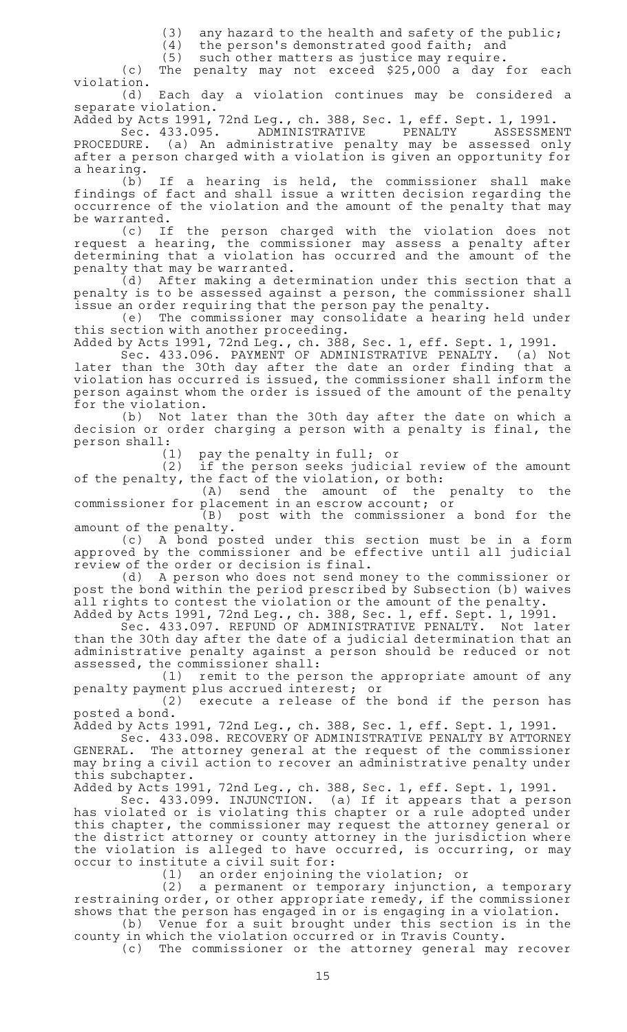(3) any hazard to the health and safety of the public;<br>(4) the person's demonstrated good faith: and

the person's demonstrated good faith; and

 $(5)$  such other matters as justice may require.

(c) The penalty may not exceed \$25,000 a day for each violation.

(d) Each day a violation continues may be considered a separate violation.

Added by Acts 1991, 72nd Leg., ch. 388, Sec. 1, eff. Sept. 1, 1991.

Sec. 433.095. ADMINISTRATIVE PENALTY ASSESSMENT PROCEDURE. (a) An administrative penalty may be assessed only after a person charged with a violation is given an opportunity for a hearing.

(b) If a hearing is held, the commissioner shall make findings of fact and shall issue a written decision regarding the occurrence of the violation and the amount of the penalty that may

be warranted.<br>(c) If the person charged with the violation does not request a hearing, the commissioner may assess a penalty after determining that a violation has occurred and the amount of the penalty that may be warranted.

(d) After making a determination under this section that a penalty is to be assessed against a person, the commissioner shall issue an order requiring that the person pay the penalty.

(e) The commissioner may consolidate a hearing held under this section with another proceeding.

Added by Acts 1991, 72nd Leg., ch. 388, Sec. 1, eff. Sept. 1, 1991.

Sec. 433.096. PAYMENT OF ADMINISTRATIVE PENALTY. (a) Not later than the 30th day after the date an order finding that a violation has occurred is issued, the commissioner shall inform the person against whom the order is issued of the amount of the penalty for the violation.

(b) Not later than the 30th day after the date on which a decision or order charging a person with a penalty is final, the person shall:

 $(1)$  pay the penalty in full; or

(2) if the person seeks judicial review of the amount of the penalty, the fact of the violation, or both:

(A) send the amount of the penalty to the commissioner for placement in an escrow account; or

(B) post with the commissioner a bond for the amount of the penalty.

(c)AAA bond posted under this section must be in a form approved by the commissioner and be effective until all judicial review of the order or decision is final.

(d) A person who does not send money to the commissioner or post the bond within the period prescribed by Subsection (b) waives all rights to contest the violation or the amount of the penalty.

Added by Acts 1991, 72nd Leg., ch. 388, Sec. 1, eff. Sept. 1, 1991. Sec. 433.097. REFUND OF ADMINISTRATIVE PENALTY. Not later than the 30th day after the date of a judicial determination that an administrative penalty against a person should be reduced or not assessed, the commissioner shall:

 $(1)$  remit to the person the appropriate amount of any penalty payment plus accrued interest; or

(2) execute a release of the bond if the person has posted a bond.

Added by Acts 1991, 72nd Leg., ch. 388, Sec. 1, eff. Sept. 1, 1991.

Sec. 433.098. RECOVERY OF ADMINISTRATIVE PENALTY BY ATTORNEY GENERAL. The attorney general at the request of the commissioner may bring a civil action to recover an administrative penalty under this subchapter.

Added by Acts 1991, 72nd Leg., ch. 388, Sec. 1, eff. Sept. 1, 1991.

Sec. 433.099. INJUNCTION. (a) If it appears that a person has violated or is violating this chapter or a rule adopted under this chapter, the commissioner may request the attorney general or the district attorney or county attorney in the jurisdiction where the violation is alleged to have occurred, is occurring, or may occur to institute a civil suit for:

(1) an order enjoining the violation; or<br>(2) a permanent or temporary injunction (2) a permanent or temporary injunction, a temporary restraining order, or other appropriate remedy, if the commissioner shows that the person has engaged in or is engaging in a violation.

(b) Venue for a suit brought under this section is in the county in which the violation occurred or in Travis County.

(c) The commissioner or the attorney general may recover